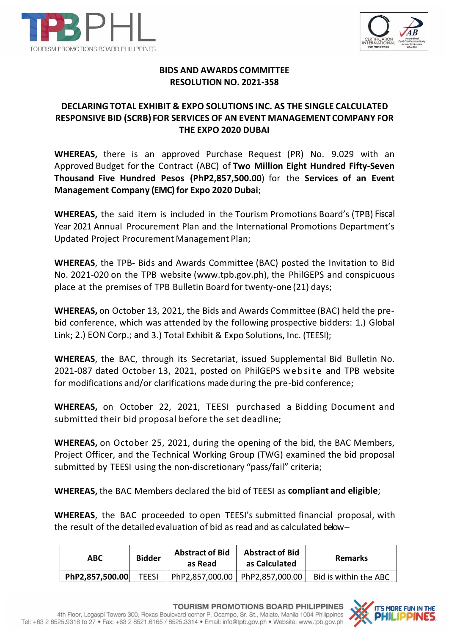



## **BIDS AND AWARDS COMMITTEE RESOLUTION NO. 2021-358**

## **DECLARINGTOTAL EXHIBIT & EXPO SOLUTIONS INC. AS THE SINGLE CALCULATED RESPONSIVE BID (SCRB) FOR SERVICES OF AN EVENT MANAGEMENT COMPANY FOR THE EXPO 2020 DUBAI**

**WHEREAS,** there is an approved Purchase Request (PR) No. 9.029 with an Approved Budget for the Contract (ABC) of **Two Million Eight Hundred Fifty-Seven Thousand Five Hundred Pesos (PhP2,857,500.00**) for the **Services of an Event Management Company (EMC) for Expo 2020 Dubai**;

**WHEREAS,** the said item is included in the Tourism Promotions Board's (TPB) Fiscal Year 2021 Annual Procurement Plan and the International Promotions Department's Updated Project Procurement Management Plan;

**WHEREAS**, the TPB- Bids and Awards Committee (BAC) posted the Invitation to Bid No. 2021-020 on the TPB website (www.tpb.gov.ph), the PhilGEPS and conspicuous place at the premises of TPB Bulletin Board for twenty-one (21) days;

**WHEREAS,** on October 13, 2021, the Bids and Awards Committee (BAC) held the prebid conference, which was attended by the following prospective bidders: 1.) Global Link; 2.) EON Corp.; and 3.) Total Exhibit & Expo Solutions, Inc. (TEESI);

**WHEREAS**, the BAC, through its Secretariat, issued Supplemental Bid Bulletin No. 2021-087 dated October 13, 2021, posted on PhilGEPS website and TPB website for modifications and/or clarifications made during the pre-bid conference;

**WHEREAS,** on October 22, 2021, TEESI purchased a Bidding Document and submitted their bid proposal before the set deadline;

**WHEREAS,** on October 25, 2021, during the opening of the bid, the BAC Members, Project Officer, and the Technical Working Group (TWG) examined the bid proposal submitted by TEESI using the non-discretionary "pass/fail" criteria;

**WHEREAS,** the BAC Members declared the bid of TEESI as **compliant and eligible**;

**WHEREAS**, the BAC proceeded to open TEESI's submitted financial proposal, with the result of the detailed evaluation of bid as read and as calculated below–

| <b>ABC</b>      | <b>Bidder</b> | <b>Abstract of Bid</b><br>as Read | <b>Abstract of Bid</b><br>as Calculated | <b>Remarks</b>        |
|-----------------|---------------|-----------------------------------|-----------------------------------------|-----------------------|
| PhP2,857,500.00 | <b>TEESI</b>  |                                   | PhP2,857,000.00   PhP2,857,000.00       | Bid is within the ABC |